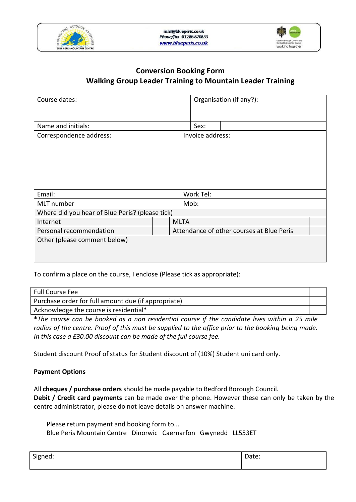



### **Conversion Booking Form Walking Group Leader Training to Mountain Leader Training**

| Course dates:                                   |             |                                           | Organisation (if any?): |  |
|-------------------------------------------------|-------------|-------------------------------------------|-------------------------|--|
| Name and initials:                              |             | Sex:                                      |                         |  |
| Correspondence address:                         |             | Invoice address:                          |                         |  |
|                                                 |             |                                           |                         |  |
|                                                 |             |                                           |                         |  |
|                                                 |             |                                           |                         |  |
|                                                 |             |                                           |                         |  |
| Email:                                          |             | Work Tel:                                 |                         |  |
| MLT number                                      |             | Mob:                                      |                         |  |
| Where did you hear of Blue Peris? (please tick) |             |                                           |                         |  |
| Internet                                        | <b>MLTA</b> |                                           |                         |  |
| Personal recommendation                         |             | Attendance of other courses at Blue Peris |                         |  |
| Other (please comment below)                    |             |                                           |                         |  |
|                                                 |             |                                           |                         |  |
|                                                 |             |                                           |                         |  |

To confirm a place on the course, I enclose (Please tick as appropriate):

| <b>Full Course Fee</b>                              |  |
|-----------------------------------------------------|--|
| Purchase order for full amount due (if appropriate) |  |
| Acknowledge the course is residential*              |  |

**\****The course can be booked as a non residential course if the candidate lives within a 25 mile radius of the centre. Proof of this must be supplied to the office prior to the booking being made. In this case a £30.00 discount can be made of the full course fee.*

Student discount Proof of status for Student discount of (10%) Student uni card only.

#### **Payment Options**

All **cheques / purchase orders** should be made payable to Bedford Borough Council. **Debit / Credit card payments** can be made over the phone. However these can only be taken by the centre administrator, please do not leave details on answer machine.

Please return payment and booking form to... Blue Peris Mountain Centre Dinorwic Caernarfon Gwynedd LL553ET

| Signed: | Date: |
|---------|-------|
|         |       |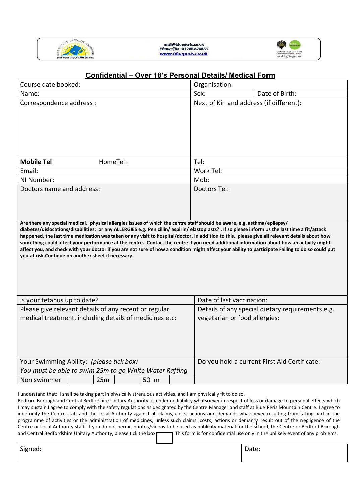



## **Confidential – Over 18's Personal Details/ Medical Form**

| Course date booked:                                                                                                                                                                                                                                                                                                                                                                                                                                                                                   | Organisation:                                                                     |  |
|-------------------------------------------------------------------------------------------------------------------------------------------------------------------------------------------------------------------------------------------------------------------------------------------------------------------------------------------------------------------------------------------------------------------------------------------------------------------------------------------------------|-----------------------------------------------------------------------------------|--|
| Name:                                                                                                                                                                                                                                                                                                                                                                                                                                                                                                 | Date of Birth:<br>Sex:                                                            |  |
| Correspondence address :                                                                                                                                                                                                                                                                                                                                                                                                                                                                              | Next of Kin and address (if different):                                           |  |
| <b>Mobile Tel</b><br>HomeTel:                                                                                                                                                                                                                                                                                                                                                                                                                                                                         | Tel:                                                                              |  |
| Email:                                                                                                                                                                                                                                                                                                                                                                                                                                                                                                | Work Tel:                                                                         |  |
| NI Number:                                                                                                                                                                                                                                                                                                                                                                                                                                                                                            | Mob:                                                                              |  |
| Doctors name and address:                                                                                                                                                                                                                                                                                                                                                                                                                                                                             | Doctors Tel:                                                                      |  |
| Are there any special medical, physical allergies issues of which the centre staff should be aware, e.g. asthma/epilepsy/<br>diabetes/dislocations/disabilities: or any ALLERGIES e.g. Penicillin/ aspirin/ elastoplasts? . If so please inform us the last time a fit/attack                                                                                                                                                                                                                         |                                                                                   |  |
| happened, the last time medication was taken or any visit to hospital/doctor. In addition to this, please give all relevant details about how<br>something could affect your performance at the centre. Contact the centre if you need additional information about how an activity might<br>affect you, and check with your doctor if you are not sure of how a condition might affect your ability to participate Failing to do so could put<br>you at risk.Continue on another sheet if necessary. |                                                                                   |  |
| Is your tetanus up to date?                                                                                                                                                                                                                                                                                                                                                                                                                                                                           | Date of last vaccination:                                                         |  |
| Please give relevant details of any recent or regular<br>medical treatment, including details of medicines etc:                                                                                                                                                                                                                                                                                                                                                                                       | Details of any special dietary requirements e.g.<br>vegetarian or food allergies: |  |
| Your Swimming Ability: (please tick box)                                                                                                                                                                                                                                                                                                                                                                                                                                                              | Do you hold a current First Aid Certificate:                                      |  |
| You must be able to swim 25m to go White Water Rafting                                                                                                                                                                                                                                                                                                                                                                                                                                                |                                                                                   |  |
| 25m<br>$50+m$<br>Non swimmer                                                                                                                                                                                                                                                                                                                                                                                                                                                                          |                                                                                   |  |

| $\sim$ .<br>יי<br>∵cu.<br>$\cdot$<br>ັ | Ducc. |
|----------------------------------------|-------|
|                                        |       |